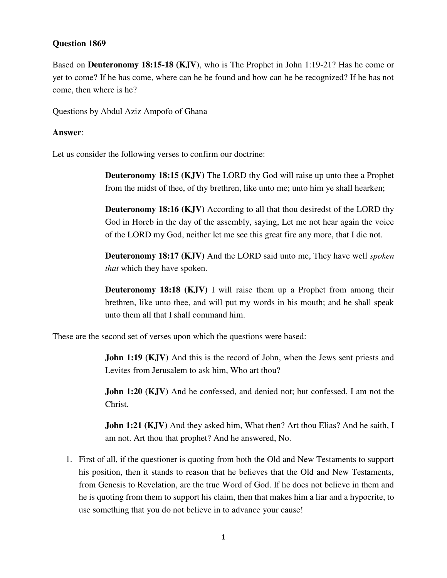## **Question 1869**

Based on **Deuteronomy 18:15-18 (KJV)**, who is The Prophet in John 1:19-21? Has he come or yet to come? If he has come, where can he be found and how can he be recognized? If he has not come, then where is he?

Questions by Abdul Aziz Ampofo of Ghana

## **Answer**:

Let us consider the following verses to confirm our doctrine:

**Deuteronomy 18:15 (KJV)** The LORD thy God will raise up unto thee a Prophet from the midst of thee, of thy brethren, like unto me; unto him ye shall hearken;

**Deuteronomy 18:16 (KJV)** According to all that thou desiredst of the LORD thy God in Horeb in the day of the assembly, saying, Let me not hear again the voice of the LORD my God, neither let me see this great fire any more, that I die not.

**Deuteronomy 18:17 (KJV)** And the LORD said unto me, They have well *spoken that* which they have spoken.

**Deuteronomy 18:18 (KJV)** I will raise them up a Prophet from among their brethren, like unto thee, and will put my words in his mouth; and he shall speak unto them all that I shall command him.

These are the second set of verses upon which the questions were based:

**John 1:19 (KJV)** And this is the record of John, when the Jews sent priests and Levites from Jerusalem to ask him, Who art thou?

**John 1:20 (KJV)** And he confessed, and denied not; but confessed, I am not the Christ.

**John 1:21 (KJV)** And they asked him, What then? Art thou Elias? And he saith, I am not. Art thou that prophet? And he answered, No.

1. First of all, if the questioner is quoting from both the Old and New Testaments to support his position, then it stands to reason that he believes that the Old and New Testaments, from Genesis to Revelation, are the true Word of God. If he does not believe in them and he is quoting from them to support his claim, then that makes him a liar and a hypocrite, to use something that you do not believe in to advance your cause!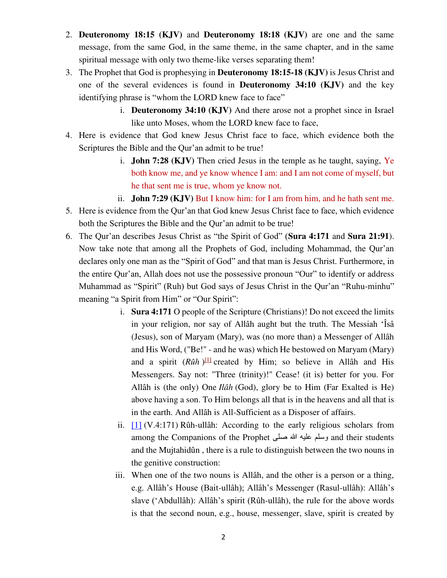- 2. **Deuteronomy 18:15 (KJV)** and **Deuteronomy 18:18 (KJV)** are one and the same message, from the same God, in the same theme, in the same chapter, and in the same spiritual message with only two theme-like verses separating them!
- 3. The Prophet that God is prophesying in **Deuteronomy 18:15-18 (KJV)** is Jesus Christ and one of the several evidences is found in **Deuteronomy 34:10 (KJV)** and the key identifying phrase is "whom the LORD knew face to face"
	- i. **Deuteronomy 34:10 (KJV)** And there arose not a prophet since in Israel like unto Moses, whom the LORD knew face to face,
- 4. Here is evidence that God knew Jesus Christ face to face, which evidence both the Scriptures the Bible and the Qur'an admit to be true!
	- i. **John 7:28 (KJV)** Then cried Jesus in the temple as he taught, saying, Ye both know me, and ye know whence I am: and I am not come of myself, but he that sent me is true, whom ye know not.
	- ii. **John 7:29 (KJV)** But I know him: for I am from him, and he hath sent me.
- 5. Here is evidence from the Qur'an that God knew Jesus Christ face to face, which evidence both the Scriptures the Bible and the Qur'an admit to be true!
- 6. The Qur'an describes Jesus Christ as "the Spirit of God" (**Sura 4:171** and **Sura 21:91**). Now take note that among all the Prophets of God, including Mohammad, the Qur'an declares only one man as the "Spirit of God" and that man is Jesus Christ. Furthermore, in the entire Qur'an, Allah does not use the possessive pronoun "Our" to identify or address Muhammad as "Spirit" (Ruh) but God says of Jesus Christ in the Qur'an "Ruhu-minhu" meaning "a Spirit from Him" or "Our Spirit":
	- i. **Sura 4:171** O people of the Scripture (Christians)! Do not exceed the limits in your religion, nor say of Allâh aught but the truth. The Messiah 'Îsâ (Jesus), son of Maryam (Mary), was (no more than) a Messenger of Allâh and His Word, ("Be!" - and he was) which He bestowed on Maryam (Mary) and a spirit (*Rûh*)<sup>[\[1\]](http://qurancomplex.gov.sa/Quran/Targama/Targama.asp?nSora=4&l=eng&nAya=171#f1)</sup> created by Him; so believe in Allâh and His Messengers. Say not: "Three (trinity)!" Cease! (it is) better for you. For Allâh is (the only) One *Ilâh* (God), glory be to Him (Far Exalted is He) above having a son. To Him belongs all that is in the heavens and all that is in the earth. And Allâh is All-Sufficient as a Disposer of affairs.
	- ii.  $[1]$  (V.4:171) Rûh-ullâh: According to the early religious scholars from among the Companions of the Prophet صلى هللا عليه وسلم and their students and the Mujtahidûn , there is a rule to distinguish between the two nouns in the genitive construction:
	- iii. When one of the two nouns is Allâh, and the other is a person or a thing, e.g. Allâh's House (Bait-ullâh); Allâh's Messenger (Rasul-ullâh): Allâh's slave ('Abdullâh): Allâh's spirit (Rûh-ullâh), the rule for the above words is that the second noun, e.g., house, messenger, slave, spirit is created by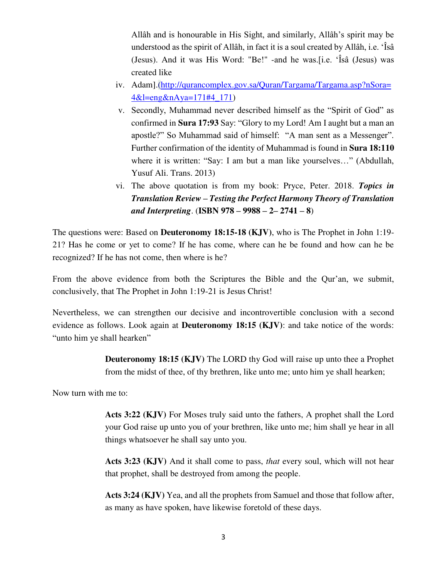Allâh and is honourable in His Sight, and similarly, Allâh's spirit may be understood as the spirit of Allâh, in fact it is a soul created by Allâh, i.e. 'Îsâ (Jesus). And it was His Word: "Be!" -and he was.[i.e. 'Îsâ (Jesus) was created like

- iv. Adam].[\(http://qurancomplex.gov.sa/Quran/Targama/Targama.asp?nSora=](http://qurancomplex.gov.sa/Quran/Targama/Targama.asp?nSora=4&l=eng&nAya=171#4_171) [4&l=eng&nAya=171#4\\_171\)](http://qurancomplex.gov.sa/Quran/Targama/Targama.asp?nSora=4&l=eng&nAya=171#4_171)
- v. Secondly, Muhammad never described himself as the "Spirit of God" as confirmed in **Sura 17:93** Say: "Glory to my Lord! Am I aught but a man an apostle?" So Muhammad said of himself: "A man sent as a Messenger". Further confirmation of the identity of Muhammad is found in **Sura 18:110** where it is written: "Say: I am but a man like yourselves…" (Abdullah, Yusuf Ali. Trans. 2013)
- vi. The above quotation is from my book: Pryce, Peter. 2018. *Topics in Translation Review – Testing the Perfect Harmony Theory of Translation and Interpreting*. (**ISBN 978 – 9988 – 2– 2741 – 8**)

The questions were: Based on **Deuteronomy 18:15-18 (KJV)**, who is The Prophet in John 1:19- 21? Has he come or yet to come? If he has come, where can he be found and how can he be recognized? If he has not come, then where is he?

From the above evidence from both the Scriptures the Bible and the Qur'an, we submit, conclusively, that The Prophet in John 1:19-21 is Jesus Christ!

Nevertheless, we can strengthen our decisive and incontrovertible conclusion with a second evidence as follows. Look again at **Deuteronomy 18:15 (KJV)**: and take notice of the words: "unto him ye shall hearken"

> **Deuteronomy 18:15 (KJV)** The LORD thy God will raise up unto thee a Prophet from the midst of thee, of thy brethren, like unto me; unto him ye shall hearken;

Now turn with me to:

**Acts 3:22 (KJV)** For Moses truly said unto the fathers, A prophet shall the Lord your God raise up unto you of your brethren, like unto me; him shall ye hear in all things whatsoever he shall say unto you.

**Acts 3:23 (KJV)** And it shall come to pass, *that* every soul, which will not hear that prophet, shall be destroyed from among the people.

**Acts 3:24 (KJV)** Yea, and all the prophets from Samuel and those that follow after, as many as have spoken, have likewise foretold of these days.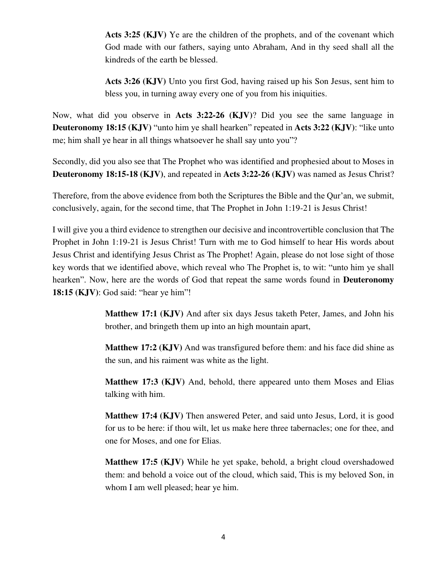**Acts 3:25 (KJV)** Ye are the children of the prophets, and of the covenant which God made with our fathers, saying unto Abraham, And in thy seed shall all the kindreds of the earth be blessed.

**Acts 3:26 (KJV)** Unto you first God, having raised up his Son Jesus, sent him to bless you, in turning away every one of you from his iniquities.

Now, what did you observe in **Acts 3:22-26 (KJV)**? Did you see the same language in **Deuteronomy 18:15 (KJV)** "unto him ye shall hearken" repeated in **Acts 3:22 (KJV)**: "like unto me; him shall ye hear in all things whatsoever he shall say unto you"?

Secondly, did you also see that The Prophet who was identified and prophesied about to Moses in **Deuteronomy 18:15-18 (KJV)**, and repeated in **Acts 3:22-26 (KJV)** was named as Jesus Christ?

Therefore, from the above evidence from both the Scriptures the Bible and the Qur'an, we submit, conclusively, again, for the second time, that The Prophet in John 1:19-21 is Jesus Christ!

I will give you a third evidence to strengthen our decisive and incontrovertible conclusion that The Prophet in John 1:19-21 is Jesus Christ! Turn with me to God himself to hear His words about Jesus Christ and identifying Jesus Christ as The Prophet! Again, please do not lose sight of those key words that we identified above, which reveal who The Prophet is, to wit: "unto him ye shall hearken". Now, here are the words of God that repeat the same words found in **Deuteronomy 18:15 (KJV)**: God said: "hear ye him"!

> **Matthew 17:1 (KJV)** And after six days Jesus taketh Peter, James, and John his brother, and bringeth them up into an high mountain apart,

> **Matthew 17:2 (KJV)** And was transfigured before them: and his face did shine as the sun, and his raiment was white as the light.

> **Matthew 17:3 (KJV)** And, behold, there appeared unto them Moses and Elias talking with him.

> **Matthew 17:4 (KJV)** Then answered Peter, and said unto Jesus, Lord, it is good for us to be here: if thou wilt, let us make here three tabernacles; one for thee, and one for Moses, and one for Elias.

> **Matthew 17:5 (KJV)** While he yet spake, behold, a bright cloud overshadowed them: and behold a voice out of the cloud, which said, This is my beloved Son, in whom I am well pleased; hear ye him.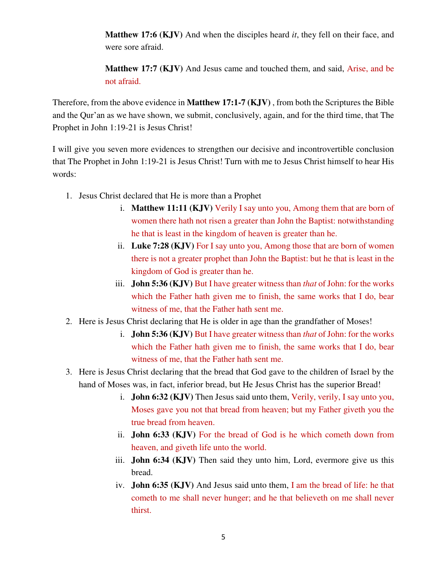**Matthew 17:6 (KJV)** And when the disciples heard *it*, they fell on their face, and were sore afraid.

**Matthew 17:7 (KJV)** And Jesus came and touched them, and said, Arise, and be not afraid.

Therefore, from the above evidence in **Matthew 17:1-7 (KJV)** , from both the Scriptures the Bible and the Qur'an as we have shown, we submit, conclusively, again, and for the third time, that The Prophet in John 1:19-21 is Jesus Christ!

I will give you seven more evidences to strengthen our decisive and incontrovertible conclusion that The Prophet in John 1:19-21 is Jesus Christ! Turn with me to Jesus Christ himself to hear His words:

- 1. Jesus Christ declared that He is more than a Prophet
	- i. **Matthew 11:11 (KJV)** Verily I say unto you, Among them that are born of women there hath not risen a greater than John the Baptist: notwithstanding he that is least in the kingdom of heaven is greater than he.
	- ii. **Luke 7:28 (KJV)** For I say unto you, Among those that are born of women there is not a greater prophet than John the Baptist: but he that is least in the kingdom of God is greater than he.
	- iii. **John 5:36 (KJV)** But I have greater witness than *that* of John: for the works which the Father hath given me to finish, the same works that I do, bear witness of me, that the Father hath sent me.
- 2. Here is Jesus Christ declaring that He is older in age than the grandfather of Moses!
	- i. **John 5:36 (KJV)** But I have greater witness than *that* of John: for the works which the Father hath given me to finish, the same works that I do, bear witness of me, that the Father hath sent me.
- 3. Here is Jesus Christ declaring that the bread that God gave to the children of Israel by the hand of Moses was, in fact, inferior bread, but He Jesus Christ has the superior Bread!
	- i. **John 6:32 (KJV)** Then Jesus said unto them, Verily, verily, I say unto you, Moses gave you not that bread from heaven; but my Father giveth you the true bread from heaven.
	- ii. **John 6:33 (KJV)** For the bread of God is he which cometh down from heaven, and giveth life unto the world.
	- iii. **John 6:34 (KJV)** Then said they unto him, Lord, evermore give us this bread.
	- iv. **John 6:35 (KJV)** And Jesus said unto them, I am the bread of life: he that cometh to me shall never hunger; and he that believeth on me shall never thirst.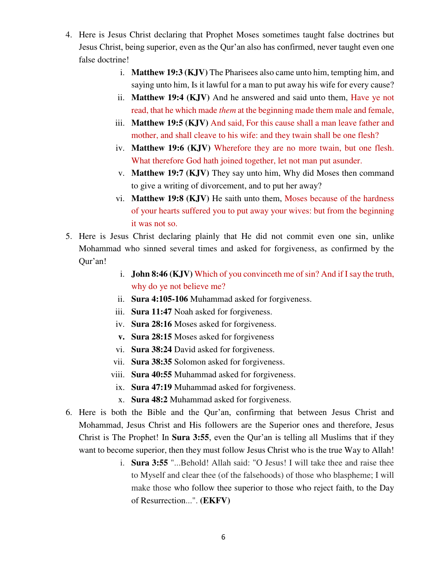- 4. Here is Jesus Christ declaring that Prophet Moses sometimes taught false doctrines but Jesus Christ, being superior, even as the Qur'an also has confirmed, never taught even one false doctrine!
	- i. **Matthew 19:3 (KJV)** The Pharisees also came unto him, tempting him, and saying unto him, Is it lawful for a man to put away his wife for every cause?
	- ii. **Matthew 19:4 (KJV)** And he answered and said unto them, Have ye not read, that he which made *them* at the beginning made them male and female,
	- iii. **Matthew 19:5 (KJV)** And said, For this cause shall a man leave father and mother, and shall cleave to his wife: and they twain shall be one flesh?
	- iv. **Matthew 19:6 (KJV)** Wherefore they are no more twain, but one flesh. What therefore God hath joined together, let not man put asunder.
	- v. **Matthew 19:7 (KJV)** They say unto him, Why did Moses then command to give a writing of divorcement, and to put her away?
	- vi. **Matthew 19:8 (KJV)** He saith unto them, Moses because of the hardness of your hearts suffered you to put away your wives: but from the beginning it was not so.
- 5. Here is Jesus Christ declaring plainly that He did not commit even one sin, unlike Mohammad who sinned several times and asked for forgiveness, as confirmed by the Qur'an!
	- i. **John 8:46 (KJV)** Which of you convinceth me of sin? And if I say the truth, why do ye not believe me?
	- ii. **Sura 4:105-106** Muhammad asked for forgiveness.
	- iii. **Sura 11:47** Noah asked for forgiveness.
	- iv. **Sura 28:16** Moses asked for forgiveness.
	- **v. Sura 28:15** Moses asked for forgiveness
	- vi. **Sura 38:24** David asked for forgiveness.
	- vii. **Sura 38:35** Solomon asked for forgiveness.
	- viii. **Sura 40:55** Muhammad asked for forgiveness.
	- ix. **Sura 47:19** Muhammad asked for forgiveness.
	- x. **Sura 48:2** Muhammad asked for forgiveness.
- 6. Here is both the Bible and the Qur'an, confirming that between Jesus Christ and Mohammad, Jesus Christ and His followers are the Superior ones and therefore, Jesus Christ is The Prophet! In **Sura 3:55**, even the Qur'an is telling all Muslims that if they want to become superior, then they must follow Jesus Christ who is the true Way to Allah!
	- i. **Sura 3:55** "...Behold! Allah said: "O Jesus! I will take thee and raise thee to Myself and clear thee (of the falsehoods) of those who blaspheme; I will make those who follow thee superior to those who reject faith, to the Day of Resurrection...". **(EKFV)**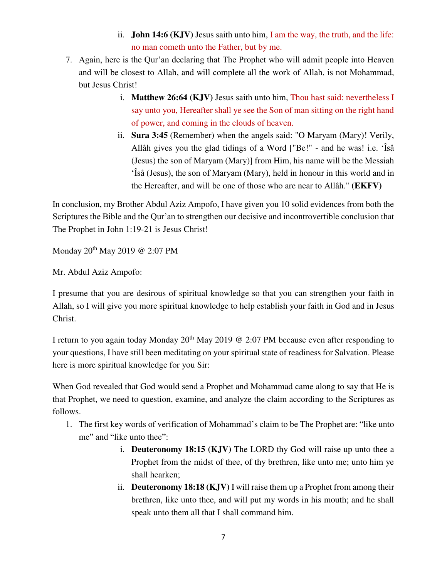- ii. **John 14:6 (KJV)** Jesus saith unto him, I am the way, the truth, and the life: no man cometh unto the Father, but by me.
- 7. Again, here is the Qur'an declaring that The Prophet who will admit people into Heaven and will be closest to Allah, and will complete all the work of Allah, is not Mohammad, but Jesus Christ!
	- i. **Matthew 26:64 (KJV)** Jesus saith unto him, Thou hast said: nevertheless I say unto you, Hereafter shall ye see the Son of man sitting on the right hand of power, and coming in the clouds of heaven.
	- ii. **Sura 3:45** (Remember) when the angels said: "O Maryam (Mary)! Verily, Allâh gives you the glad tidings of a Word ["Be!" - and he was! i.e. 'Îsâ (Jesus) the son of Maryam (Mary)] from Him, his name will be the Messiah 'Îsâ (Jesus), the son of Maryam (Mary), held in honour in this world and in the Hereafter, and will be one of those who are near to Allâh." **(EKFV)**

In conclusion, my Brother Abdul Aziz Ampofo, I have given you 10 solid evidences from both the Scriptures the Bible and the Qur'an to strengthen our decisive and incontrovertible conclusion that The Prophet in John 1:19-21 is Jesus Christ!

Monday 20th May 2019 @ 2:07 PM

Mr. Abdul Aziz Ampofo:

I presume that you are desirous of spiritual knowledge so that you can strengthen your faith in Allah, so I will give you more spiritual knowledge to help establish your faith in God and in Jesus Christ.

I return to you again today Monday  $20<sup>th</sup>$  May 2019 @ 2:07 PM because even after responding to your questions, I have still been meditating on your spiritual state of readiness for Salvation. Please here is more spiritual knowledge for you Sir:

When God revealed that God would send a Prophet and Mohammad came along to say that He is that Prophet, we need to question, examine, and analyze the claim according to the Scriptures as follows.

- 1. The first key words of verification of Mohammad's claim to be The Prophet are: "like unto me" and "like unto thee":
	- i. **Deuteronomy 18:15 (KJV)** The LORD thy God will raise up unto thee a Prophet from the midst of thee, of thy brethren, like unto me; unto him ye shall hearken;
	- ii. **Deuteronomy 18:18 (KJV)** I will raise them up a Prophet from among their brethren, like unto thee, and will put my words in his mouth; and he shall speak unto them all that I shall command him.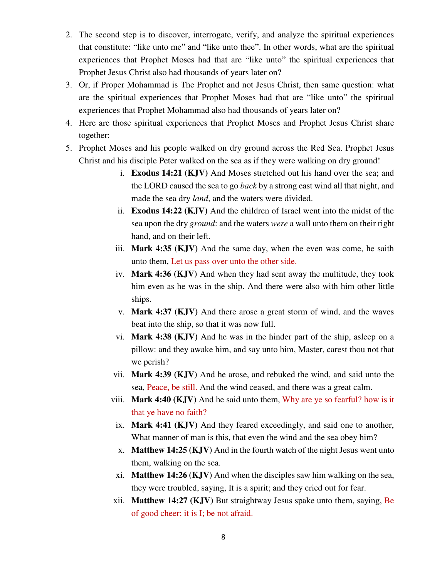- 2. The second step is to discover, interrogate, verify, and analyze the spiritual experiences that constitute: "like unto me" and "like unto thee". In other words, what are the spiritual experiences that Prophet Moses had that are "like unto" the spiritual experiences that Prophet Jesus Christ also had thousands of years later on?
- 3. Or, if Proper Mohammad is The Prophet and not Jesus Christ, then same question: what are the spiritual experiences that Prophet Moses had that are "like unto" the spiritual experiences that Prophet Mohammad also had thousands of years later on?
- 4. Here are those spiritual experiences that Prophet Moses and Prophet Jesus Christ share together:
- 5. Prophet Moses and his people walked on dry ground across the Red Sea. Prophet Jesus Christ and his disciple Peter walked on the sea as if they were walking on dry ground!
	- i. **Exodus 14:21 (KJV)** And Moses stretched out his hand over the sea; and the LORD caused the sea to go *back* by a strong east wind all that night, and made the sea dry *land*, and the waters were divided.
	- ii. **Exodus 14:22 (KJV)** And the children of Israel went into the midst of the sea upon the dry *ground*: and the waters *were* a wall unto them on their right hand, and on their left.
	- iii. **Mark 4:35 (KJV)** And the same day, when the even was come, he saith unto them, Let us pass over unto the other side.
	- iv. **Mark 4:36 (KJV)** And when they had sent away the multitude, they took him even as he was in the ship. And there were also with him other little ships.
	- v. **Mark 4:37 (KJV)** And there arose a great storm of wind, and the waves beat into the ship, so that it was now full.
	- vi. **Mark 4:38 (KJV)** And he was in the hinder part of the ship, asleep on a pillow: and they awake him, and say unto him, Master, carest thou not that we perish?
	- vii. **Mark 4:39 (KJV)** And he arose, and rebuked the wind, and said unto the sea, Peace, be still. And the wind ceased, and there was a great calm.
	- viii. **Mark 4:40 (KJV)** And he said unto them, Why are ye so fearful? how is it that ye have no faith?
	- ix. **Mark 4:41 (KJV)** And they feared exceedingly, and said one to another, What manner of man is this, that even the wind and the sea obey him?
	- x. **Matthew 14:25 (KJV)** And in the fourth watch of the night Jesus went unto them, walking on the sea.
	- xi. **Matthew 14:26 (KJV)** And when the disciples saw him walking on the sea, they were troubled, saying, It is a spirit; and they cried out for fear.
	- xii. **Matthew 14:27 (KJV)** But straightway Jesus spake unto them, saying, Be of good cheer; it is I; be not afraid.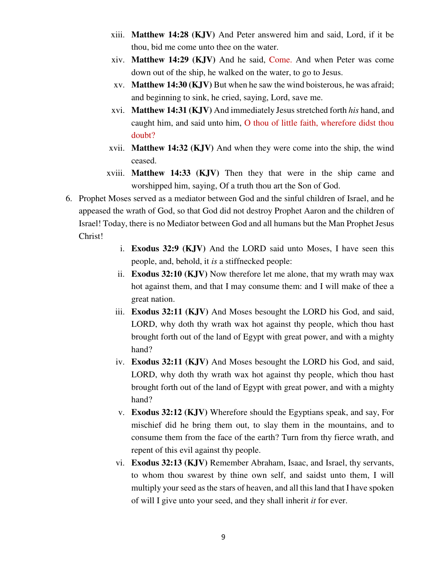- xiii. **Matthew 14:28 (KJV)** And Peter answered him and said, Lord, if it be thou, bid me come unto thee on the water.
- xiv. **Matthew 14:29 (KJV)** And he said, Come. And when Peter was come down out of the ship, he walked on the water, to go to Jesus.
- xv. **Matthew 14:30 (KJV)** But when he saw the wind boisterous, he was afraid; and beginning to sink, he cried, saying, Lord, save me.
- xvi. **Matthew 14:31 (KJV)** And immediately Jesus stretched forth *his* hand, and caught him, and said unto him, O thou of little faith, wherefore didst thou doubt?
- xvii. **Matthew 14:32 (KJV)** And when they were come into the ship, the wind ceased.
- xviii. **Matthew 14:33 (KJV)** Then they that were in the ship came and worshipped him, saying, Of a truth thou art the Son of God.
- 6. Prophet Moses served as a mediator between God and the sinful children of Israel, and he appeased the wrath of God, so that God did not destroy Prophet Aaron and the children of Israel! Today, there is no Mediator between God and all humans but the Man Prophet Jesus Christ!
	- i. **Exodus 32:9 (KJV)** And the LORD said unto Moses, I have seen this people, and, behold, it *is* a stiffnecked people:
	- ii. **Exodus 32:10 (KJV)** Now therefore let me alone, that my wrath may wax hot against them, and that I may consume them: and I will make of thee a great nation.
	- iii. **Exodus 32:11 (KJV)** And Moses besought the LORD his God, and said, LORD, why doth thy wrath wax hot against thy people, which thou hast brought forth out of the land of Egypt with great power, and with a mighty hand?
	- iv. **Exodus 32:11 (KJV)** And Moses besought the LORD his God, and said, LORD, why doth thy wrath wax hot against thy people, which thou hast brought forth out of the land of Egypt with great power, and with a mighty hand?
	- v. **Exodus 32:12 (KJV)** Wherefore should the Egyptians speak, and say, For mischief did he bring them out, to slay them in the mountains, and to consume them from the face of the earth? Turn from thy fierce wrath, and repent of this evil against thy people.
	- vi. **Exodus 32:13 (KJV)** Remember Abraham, Isaac, and Israel, thy servants, to whom thou swarest by thine own self, and saidst unto them, I will multiply your seed as the stars of heaven, and all this land that I have spoken of will I give unto your seed, and they shall inherit *it* for ever.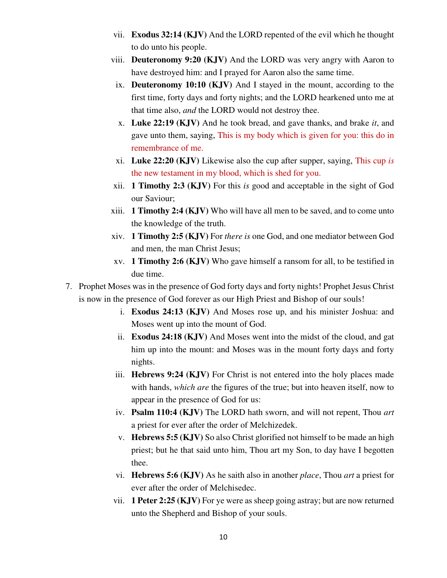- vii. **Exodus 32:14 (KJV)** And the LORD repented of the evil which he thought to do unto his people.
- viii. **Deuteronomy 9:20 (KJV)** And the LORD was very angry with Aaron to have destroyed him: and I prayed for Aaron also the same time.
- ix. **Deuteronomy 10:10 (KJV)** And I stayed in the mount, according to the first time, forty days and forty nights; and the LORD hearkened unto me at that time also, *and* the LORD would not destroy thee.
- x. **Luke 22:19 (KJV)** And he took bread, and gave thanks, and brake *it*, and gave unto them, saying, This is my body which is given for you: this do in remembrance of me.
- xi. **Luke 22:20 (KJV)** Likewise also the cup after supper, saying, This cup *is* the new testament in my blood, which is shed for you.
- xii. **1 Timothy 2:3 (KJV)** For this *is* good and acceptable in the sight of God our Saviour;
- xiii. **1 Timothy 2:4 (KJV)** Who will have all men to be saved, and to come unto the knowledge of the truth.
- xiv. **1 Timothy 2:5 (KJV)** For *there is* one God, and one mediator between God and men, the man Christ Jesus;
- xv. **1 Timothy 2:6 (KJV)** Who gave himself a ransom for all, to be testified in due time.
- 7. Prophet Moses was in the presence of God forty days and forty nights! Prophet Jesus Christ is now in the presence of God forever as our High Priest and Bishop of our souls!
	- i. **Exodus 24:13 (KJV)** And Moses rose up, and his minister Joshua: and Moses went up into the mount of God.
	- ii. **Exodus 24:18 (KJV)** And Moses went into the midst of the cloud, and gat him up into the mount: and Moses was in the mount forty days and forty nights.
	- iii. **Hebrews 9:24 (KJV)** For Christ is not entered into the holy places made with hands, *which are* the figures of the true; but into heaven itself, now to appear in the presence of God for us:
	- iv. **Psalm 110:4 (KJV)** The LORD hath sworn, and will not repent, Thou *art* a priest for ever after the order of Melchizedek.
	- v. **Hebrews 5:5 (KJV)** So also Christ glorified not himself to be made an high priest; but he that said unto him, Thou art my Son, to day have I begotten thee.
	- vi. **Hebrews 5:6 (KJV)** As he saith also in another *place*, Thou *art* a priest for ever after the order of Melchisedec.
	- vii. **1 Peter 2:25 (KJV)** For ye were as sheep going astray; but are now returned unto the Shepherd and Bishop of your souls.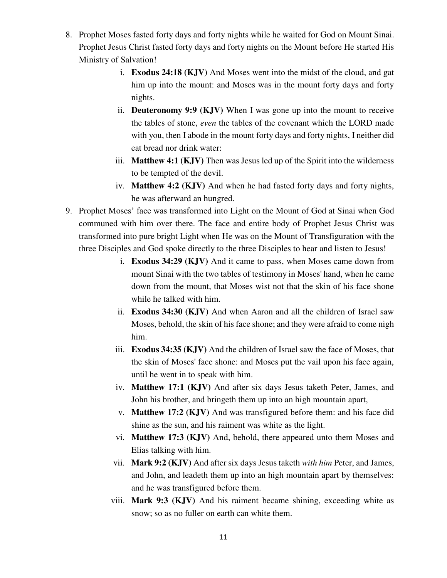- 8. Prophet Moses fasted forty days and forty nights while he waited for God on Mount Sinai. Prophet Jesus Christ fasted forty days and forty nights on the Mount before He started His Ministry of Salvation!
	- i. **Exodus 24:18 (KJV)** And Moses went into the midst of the cloud, and gat him up into the mount: and Moses was in the mount forty days and forty nights.
	- ii. **Deuteronomy 9:9 (KJV)** When I was gone up into the mount to receive the tables of stone, *even* the tables of the covenant which the LORD made with you, then I abode in the mount forty days and forty nights, I neither did eat bread nor drink water:
	- iii. **Matthew 4:1 (KJV)** Then was Jesus led up of the Spirit into the wilderness to be tempted of the devil.
	- iv. **Matthew 4:2 (KJV)** And when he had fasted forty days and forty nights, he was afterward an hungred.
- 9. Prophet Moses' face was transformed into Light on the Mount of God at Sinai when God communed with him over there. The face and entire body of Prophet Jesus Christ was transformed into pure bright Light when He was on the Mount of Transfiguration with the three Disciples and God spoke directly to the three Disciples to hear and listen to Jesus!
	- i. **Exodus 34:29 (KJV)** And it came to pass, when Moses came down from mount Sinai with the two tables of testimony in Moses' hand, when he came down from the mount, that Moses wist not that the skin of his face shone while he talked with him.
	- ii. **Exodus 34:30 (KJV)** And when Aaron and all the children of Israel saw Moses, behold, the skin of his face shone; and they were afraid to come nigh him.
	- iii. **Exodus 34:35 (KJV)** And the children of Israel saw the face of Moses, that the skin of Moses' face shone: and Moses put the vail upon his face again, until he went in to speak with him.
	- iv. **Matthew 17:1 (KJV)** And after six days Jesus taketh Peter, James, and John his brother, and bringeth them up into an high mountain apart,
	- v. **Matthew 17:2 (KJV)** And was transfigured before them: and his face did shine as the sun, and his raiment was white as the light.
	- vi. **Matthew 17:3 (KJV)** And, behold, there appeared unto them Moses and Elias talking with him.
	- vii. **Mark 9:2 (KJV)** And after six days Jesus taketh *with him* Peter, and James, and John, and leadeth them up into an high mountain apart by themselves: and he was transfigured before them.
	- viii. **Mark 9:3 (KJV)** And his raiment became shining, exceeding white as snow; so as no fuller on earth can white them.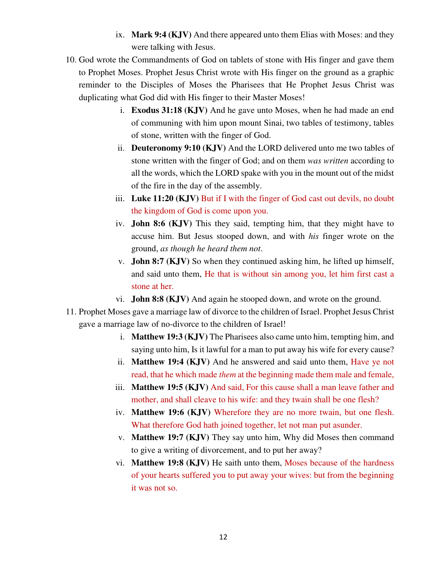- ix. **Mark 9:4 (KJV)** And there appeared unto them Elias with Moses: and they were talking with Jesus.
- 10. God wrote the Commandments of God on tablets of stone with His finger and gave them to Prophet Moses. Prophet Jesus Christ wrote with His finger on the ground as a graphic reminder to the Disciples of Moses the Pharisees that He Prophet Jesus Christ was duplicating what God did with His finger to their Master Moses!
	- i. **Exodus 31:18 (KJV)** And he gave unto Moses, when he had made an end of communing with him upon mount Sinai, two tables of testimony, tables of stone, written with the finger of God.
	- ii. **Deuteronomy 9:10 (KJV)** And the LORD delivered unto me two tables of stone written with the finger of God; and on them *was written* according to all the words, which the LORD spake with you in the mount out of the midst of the fire in the day of the assembly.
	- iii. **Luke 11:20 (KJV)** But if I with the finger of God cast out devils, no doubt the kingdom of God is come upon you.
	- iv. **John 8:6 (KJV)** This they said, tempting him, that they might have to accuse him. But Jesus stooped down, and with *his* finger wrote on the ground, *as though he heard them not*.
	- v. **John 8:7 (KJV)** So when they continued asking him, he lifted up himself, and said unto them, He that is without sin among you, let him first cast a stone at her.
	- vi. **John 8:8 (KJV)** And again he stooped down, and wrote on the ground.
- 11. Prophet Moses gave a marriage law of divorce to the children of Israel. Prophet Jesus Christ gave a marriage law of no-divorce to the children of Israel!
	- i. **Matthew 19:3 (KJV)** The Pharisees also came unto him, tempting him, and saying unto him, Is it lawful for a man to put away his wife for every cause?
	- ii. **Matthew 19:4 (KJV)** And he answered and said unto them, Have ye not read, that he which made *them* at the beginning made them male and female,
	- iii. **Matthew 19:5 (KJV)** And said, For this cause shall a man leave father and mother, and shall cleave to his wife: and they twain shall be one flesh?
	- iv. **Matthew 19:6 (KJV)** Wherefore they are no more twain, but one flesh. What therefore God hath joined together, let not man put asunder.
	- v. **Matthew 19:7 (KJV)** They say unto him, Why did Moses then command to give a writing of divorcement, and to put her away?
	- vi. **Matthew 19:8 (KJV)** He saith unto them, Moses because of the hardness of your hearts suffered you to put away your wives: but from the beginning it was not so.